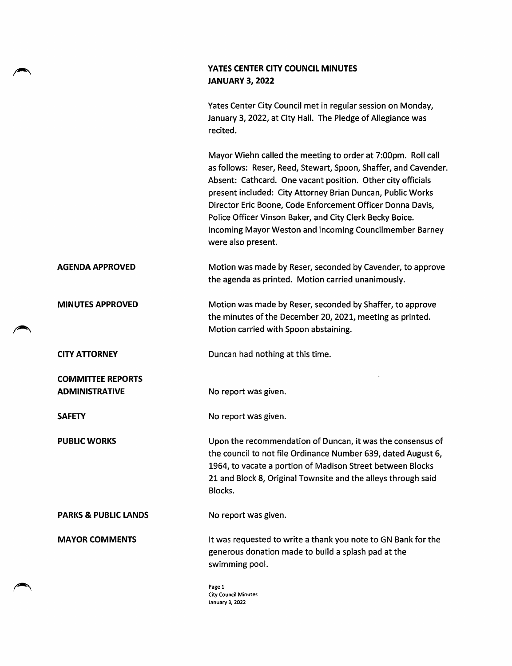## YATES CENTER CITY COUNCIL MINUTES JANUARY 3, 2022

Yates Center City Council met in regular session on Monday, January 3,2022, at City Hall. The Pledge of Allegiance was recited.

Mayor Wiehn called the meeting to order at 7;00pm. Roll call as follows: Reser, Reed, Stewart, Spoon, Shaffer, and Cavender. Absent: Cathcard. One vacant position. Other city officials present included: City Attorney Brian Duncan, Public Works Director Eric Boone, Code Enforcement Officer Donna Davis, Police Officer Vinson Baker, and City Clerk Becky Boice. Incoming Mayor Weston and incoming Councilmember Barney were also present.

- AGENDA APPROVED Motion was made by Reser, seconded by Cavender, to approve the agenda as printed. Motion carried unanimously.
- MINUTES APPROVED Motion was made by Reser, seconded by Shaffer, to approve the minutes of the December 20, 2021, meeting as printed. Motion carried with Spoon abstaining.
	- CITY ATTORNEY Duncan had nothing at this time.

ADMINISTRATIVE No report was given.

SAFETY Moreport was given.

PUBLIC WORKS Upon the recommendation of Duncan, it was the consensus of the council to not file Ordinance Number 639, dated August 6, 1964, to vacate a portion of Madison Street between Blocks 21 and Block 8, Original Townsite and the alleys through said Blocks.

PARKS & PUBLIC LANDS No report was given.

COMMITTEE REPORTS

**MAYOR COMMENTS** It was requested to write a thank you note to GN Bank for the generous donation made to build a splash pad at the swimming pool.

> Page 1 City Council Minutes January 3, 2022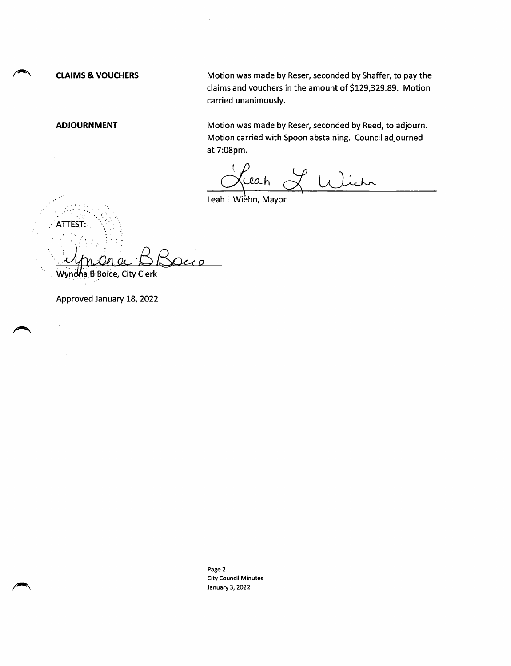CLAIMS & VOUCHERS Motion was made by Reser, seconded by Shaffer, to pay the claims and vouchers in the amount of \$129,329.89. Motion carried unanimously.

ATTEST:

ADJOURNMENT Motion was made by Reser, seconded by Reed, to adjourn. Motion carried with Spoon abstaining. Council adjourned at 7:08pm.

ceah of UJ.

Leah L Wiehn, Mayor

 $200$ 

Wyndna B Boice, City Clerk

Approved January 18, 2022

Page 2 City Council Minutes January 3, 2022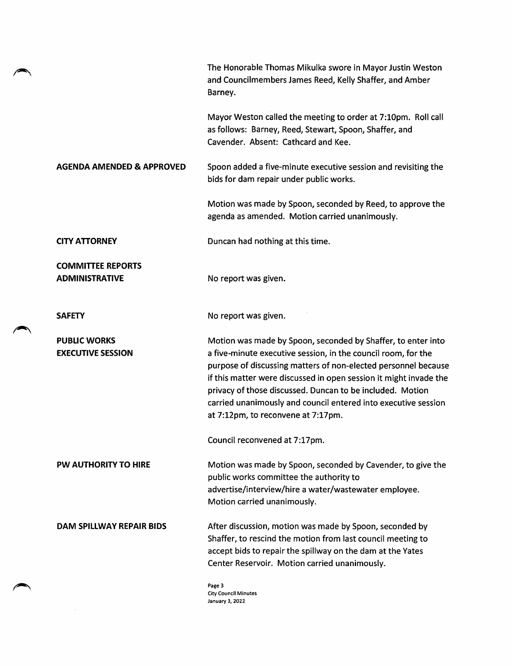|                                                   | The Honorable Thomas Mikulka swore in Mayor Justin Weston<br>and Councilmembers James Reed, Kelly Shaffer, and Amber<br>Barney.                                                                                                                                                                                                                                                                                                           |
|---------------------------------------------------|-------------------------------------------------------------------------------------------------------------------------------------------------------------------------------------------------------------------------------------------------------------------------------------------------------------------------------------------------------------------------------------------------------------------------------------------|
|                                                   | Mayor Weston called the meeting to order at 7:10pm. Roll call<br>as follows: Barney, Reed, Stewart, Spoon, Shaffer, and<br>Cavender. Absent: Cathcard and Kee.                                                                                                                                                                                                                                                                            |
| <b>AGENDA AMENDED &amp; APPROVED</b>              | Spoon added a five-minute executive session and revisiting the<br>bids for dam repair under public works.                                                                                                                                                                                                                                                                                                                                 |
|                                                   | Motion was made by Spoon, seconded by Reed, to approve the<br>agenda as amended. Motion carried unanimously.                                                                                                                                                                                                                                                                                                                              |
| <b>CITY ATTORNEY</b>                              | Duncan had nothing at this time.                                                                                                                                                                                                                                                                                                                                                                                                          |
| <b>COMMITTEE REPORTS</b><br><b>ADMINISTRATIVE</b> | No report was given.                                                                                                                                                                                                                                                                                                                                                                                                                      |
| <b>SAFETY</b>                                     | No report was given.                                                                                                                                                                                                                                                                                                                                                                                                                      |
| <b>PUBLIC WORKS</b><br><b>EXECUTIVE SESSION</b>   | Motion was made by Spoon, seconded by Shaffer, to enter into<br>a five-minute executive session, in the council room, for the<br>purpose of discussing matters of non-elected personnel because<br>if this matter were discussed in open session it might invade the<br>privacy of those discussed. Duncan to be included. Motion<br>carried unanimously and council entered into executive session<br>at 7:12pm, to reconvene at 7:17pm. |
|                                                   | Council reconvened at 7:17pm.                                                                                                                                                                                                                                                                                                                                                                                                             |
| <b>PW AUTHORITY TO HIRE</b>                       | Motion was made by Spoon, seconded by Cavender, to give the<br>public works committee the authority to<br>advertise/interview/hire a water/wastewater employee.<br>Motion carried unanimously.                                                                                                                                                                                                                                            |
| DAM SPILLWAY REPAIR BIDS                          | After discussion, motion was made by Spoon, seconded by<br>Shaffer, to rescind the motion from last council meeting to<br>accept bids to repair the spillway on the dam at the Yates<br>Center Reservoir. Motion carried unanimously.                                                                                                                                                                                                     |
|                                                   | Page 3                                                                                                                                                                                                                                                                                                                                                                                                                                    |

City Council Minutes January 3, 2022

 $\sqrt{2}$ 

 $\mathcal{L}_{\text{max}}$  and  $\mathcal{L}_{\text{max}}$